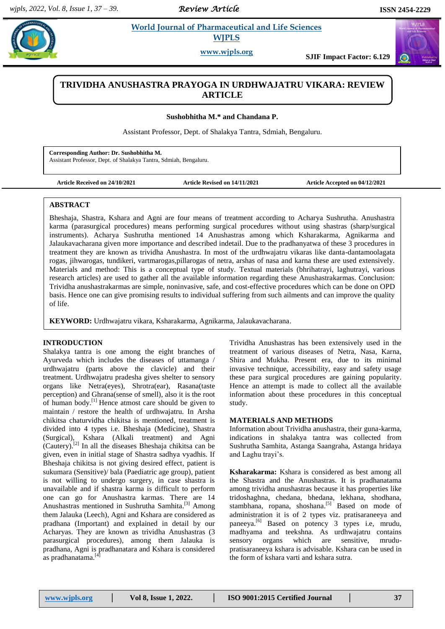*Review Article* 

**Example 3** *E**World Journal of Pharmaceutical and Life Sciences* **<b>***Reserved Reserved Reserved Reserved Reserved Reserved Reserved Reserved Reserved***</del> <b>***Reserved Reserved Reserved* **WJPLS**

**www.wjpls.org SJIF Impact Factor: 6.129**

# **TRIVIDHA ANUSHASTRA PRAYOGA IN URDHWAJATRU VIKARA: REVIEW ARTICLE**

**Sushobhitha M.\* and Chandana P.**

Assistant Professor, Dept. of Shalakya Tantra, Sdmiah, Bengaluru.

**Corresponding Author: Dr. Sushobhitha M.** Assistant Professor, Dept. of Shalakya Tantra, Sdmiah, Bengaluru.

**Article Received on 24/10/2021 Article Revised on 14/11/2021 Article Accepted on 04/12/2021**

#### **ABSTRACT**

Bheshaja, Shastra, Kshara and Agni are four means of treatment according to Acharya Sushrutha. Anushastra karma (parasurgical procedures) means performing surgical procedures without using shastras (sharp/surgical instruments). Acharya Sushrutha mentioned 14 Anushastras among which Ksharakarma, Agnikarma and Jalaukavacharana given more importance and described indetail. Due to the pradhanyatwa of these 3 procedures in treatment they are known as trividha Anushastra. In most of the urdhwajatru vikaras like danta-dantamoolagata rogas, jihwarogas, tundikeri, vartmarogas,pillarogas of netra, arshas of nasa and karna these are used extensively. Materials and method: This is a conceptual type of study. Textual materials (bhrihatrayi, laghutrayi, various research articles) are used to gather all the available information regarding these Anushastrakarmas. Conclusion: Trividha anushastrakarmas are simple, noninvasive, safe, and cost-effective procedures which can be done on OPD basis. Hence one can give promising results to individual suffering from such ailments and can improve the quality of life.

**KEYWORD:** Urdhwajatru vikara, Ksharakarma, Agnikarma, Jalaukavacharana.

## **INTRODUCTION**

Shalakya tantra is one among the eight branches of Ayurveda which includes the diseases of uttamanga / urdhwajatru (parts above the clavicle) and their treatment. Urdhwajatru pradesha gives shelter to sensory organs like Netra(eyes), Shrotra(ear), Rasana(taste perception) and Ghrana(sense of smell), also it is the root of human body.<sup>[1]</sup> Hence atmost care should be given to maintain / restore the health of urdhwajatru. In Arsha chikitsa chaturvidha chikitsa is mentioned, treatment is divided into 4 types i.e. Bheshaja (Medicine), Shastra (Surgical), Kshara (Alkali treatment) and Agni (Cautery). [2] In all the diseases Bheshaja chikitsa can be given, even in initial stage of Shastra sadhya vyadhis. If Bheshaja chikitsa is not giving desired effect, patient is sukumara (Sensitive)/ bala (Paediatric age group), patient is not willing to undergo surgery, in case shastra is unavailable and if shastra karma is difficult to perform one can go for Anushastra karmas. There are 14 Anushastras mentioned in Sushrutha Samhita.<sup>[3]</sup> Among them Jalauka (Leech), Agni and Kshara are considered as pradhana (Important) and explained in detail by our Acharyas. They are known as trividha Anushastras (3 parasurgical procedures), among them Jalauka is pradhana, Agni is pradhanatara and Kshara is considered as pradhanatama.<sup>[4]</sup>

Trividha Anushastras has been extensively used in the treatment of various diseases of Netra, Nasa, Karna, Shira and Mukha. Present era, due to its minimal invasive technique, accessibility, easy and safety usage these para surgical procedures are gaining popularity. Hence an attempt is made to collect all the available information about these procedures in this conceptual study.

#### **MATERIALS AND METHODS**

Information about Trividha anushastra, their guna-karma, indications in shalakya tantra was collected from Sushrutha Samhita, Astanga Saangraha, Astanga hridaya and Laghu trayi's.

**Ksharakarma:** Kshara is considered as best among all the Shastra and the Anushastras. It is pradhanatama among trividha anushastras because it has properties like tridoshaghna, chedana, bhedana, lekhana, shodhana, stambhana, ropana, shoshana.<sup>[5]</sup> Based on mode of administration it is of 2 types viz. pratisaraneeya and paneeya. [6] Based on potency 3 types i.e, mrudu, madhyama and teekshna. As urdhwajatru contains sensory organs which are sensitive, mrudupratisaraneeya kshara is advisable. Kshara can be used in the form of kshara varti and kshara sutra.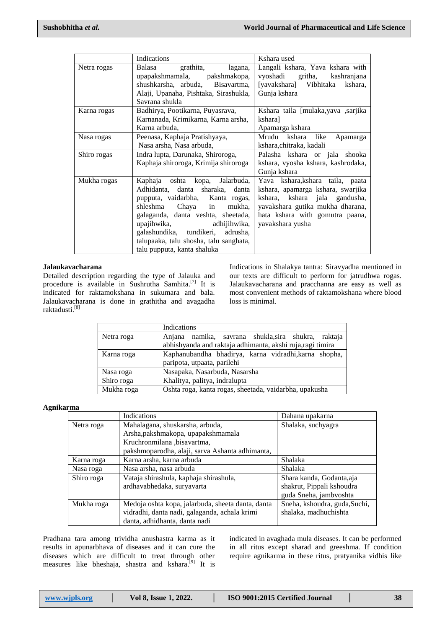|             | Indications                                                                                                                                                                                                                                                                                                                | Kshara used                                                                                                                                                                                       |
|-------------|----------------------------------------------------------------------------------------------------------------------------------------------------------------------------------------------------------------------------------------------------------------------------------------------------------------------------|---------------------------------------------------------------------------------------------------------------------------------------------------------------------------------------------------|
| Netra rogas | Balasa<br>grathita,<br>lagana,<br>upapakshmamala, pakshmakopa,<br>shushkarsha, arbuda,<br>Bisavartma,<br>Alaji, Upanaha, Pishtaka, Sirashukla,<br>Savrana shukla                                                                                                                                                           | Langali kshara, Yava kshara with<br>vyoshadi gritha, kashranjana<br>[yavakshara] Vibhitaka<br>kshara.<br>Gunja kshara                                                                             |
| Karna rogas | Badhirya, Pootikarna, Puyasrava,<br>Karnanada, Krimikarna, Karna arsha,<br>Karna arbuda.                                                                                                                                                                                                                                   | Kshara taila [mulaka,yava ,sarjika<br>kshara]<br>Apamarga kshara                                                                                                                                  |
| Nasa rogas  | Peenasa, Kaphaja Pratishyaya,<br>Nasa arsha, Nasa arbuda,                                                                                                                                                                                                                                                                  | like<br>Mrudu kshara<br>Apamarga<br>kshara, chitraka, kadali                                                                                                                                      |
| Shiro rogas | Indra lupta, Darunaka, Shiroroga,<br>Kaphaja shiroroga, Krimija shiroroga                                                                                                                                                                                                                                                  | Palasha kshara or jala shooka<br>kshara, vyosha kshara, kashrodaka,<br>Gunja kshara                                                                                                               |
| Mukha rogas | Kaphaja oshta kopa, Jalarbuda,<br>Adhidanta, danta<br>sharaka, danta<br>pupputa, vaidarbha, Kanta rogas,<br>shleshma Chaya in<br>mukha,<br>galaganda, danta veshta, sheetada,<br>upajihwika, adhijihwika,<br>galashundika, tundikeri,<br>adrusha,<br>talupaaka, talu shosha, talu sanghata,<br>talu pupputa, kanta shaluka | Yava kshara, kshara taila, paata<br>kshara, apamarga kshara, swarjika<br>kshara, kshara jala gandusha,<br>yavakshara gutika mukha dharana,<br>hata kshara with gomutra paana,<br>yavakshara yusha |

#### **Jalaukavacharana**

Detailed description regarding the type of Jalauka and procedure is available in Sushrutha Samhita.<sup>[7]</sup> It is indicated for raktamokshana in sukumara and bala. Jalaukavacharana is done in grathitha and avagadha raktadusti.<sup>[8]</sup>

Indications in Shalakya tantra: Siravyadha mentioned in our texts are difficult to perform for jatrudhwa rogas. Jalaukavacharana and pracchanna are easy as well as most convenient methods of raktamokshana where blood loss is minimal.

|            | Indications                                                |  |  |
|------------|------------------------------------------------------------|--|--|
| Netra roga | Anjana namika, savrana shukla, sira shukra, raktaja        |  |  |
|            | abhishyanda and raktaja adhimanta, akshi ruja, ragi timira |  |  |
| Karna roga | Kaphanubandha bhadirya, karna vidradhi, karna shopha,      |  |  |
|            | paripota, utpaata, parilehi                                |  |  |
| Nasa roga  | Nasapaka, Nasarbuda, Nasarsha                              |  |  |
| Shiro roga | Khalitya, palitya, indralupta                              |  |  |
| Mukha roga | Oshta roga, kanta rogas, sheetada, vaidarbha, upakusha     |  |  |

# **Agnikarma**

|            | Indications                                       | Dahana upakarna               |
|------------|---------------------------------------------------|-------------------------------|
| Netra roga | Mahalagana, shuskarsha, arbuda,                   | Shalaka, suchyagra            |
|            | Arsha, pakshmakopa, upapakshmamala                |                               |
|            | Kruchronmilana, bisavartma,                       |                               |
|            | pakshmoparodha, alaji, sarva Ashanta adhimanta,   |                               |
| Karna roga | Karna arsha, karna arbuda                         | Shalaka                       |
| Nasa roga  | Nasa arsha, nasa arbuda                           | Shalaka                       |
| Shiro roga | Vataja shirashula, kaphaja shirashula,            | Shara kanda, Godanta, aja     |
|            | ardhavabhedaka, suryavarta                        | shakrut, Pippali kshoudra     |
|            |                                                   | guda Sneha, jambvoshta        |
| Mukha roga | Medoja oshta kopa, jalarbuda, sheeta danta, danta | Sneha, kshoudra, guda, Suchi, |
|            | vidradhi, danta nadi, galaganda, achala krimi     | shalaka, madhuchishta         |
|            | danta, adhidhanta, danta nadi                     |                               |

Pradhana tara among trividha anushastra karma as it results in apunarbhava of diseases and it can cure the diseases which are difficult to treat through other measures like bheshaja, shastra and kshara.<sup>[9]</sup> It is indicated in avaghada mula diseases. It can be performed in all ritus except sharad and greeshma. If condition require agnikarma in these ritus, pratyanika vidhis like